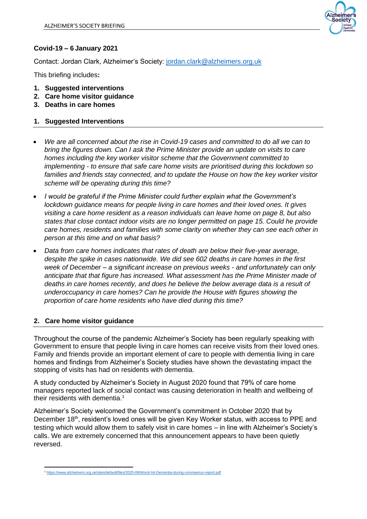

## **Covid-19 – 6 January 2021**

Contact: Jordan Clark, Alzheimer's Society: [jordan.clark@alzheimers.org.uk](mailto:jordan.clark@alzheimers.org.uk)

This briefing includes**:**

- **1. Suggested interventions**
- **2. Care home visitor guidance**
- **3. Deaths in care homes**

## **1. Suggested Interventions**

- *We are all concerned about the rise in Covid-19 cases and committed to do all we can to bring the figures down. Can I ask the Prime Minister provide an update on visits to care homes including the key worker visitor scheme that the Government committed to implementing - to ensure that safe care home visits are prioritised during this lockdown so families and friends stay connected, and to update the House on how the key worker visitor scheme will be operating during this time?*
- *I would be grateful if the Prime Minister could further explain what the Government's lockdown guidance means for people living in care homes and their loved ones. It gives visiting a care home resident as a reason individuals can leave home on page 8, but also states that close contact indoor visits are no longer permitted on page 15. Could he provide care homes, residents and families with some clarity on whether they can see each other in person at this time and on what basis?*
- *Data from care homes indicates that rates of death are below their five-year average, despite the spike in cases nationwide. We did see 602 deaths in care homes in the first week of December – a significant increase on previous weeks - and unfortunately can only anticipate that that figure has increased. What assessment has the Prime Minister made of deaths in care homes recently, and does he believe the below average data is a result of underoccupancy in care homes? Can he provide the House with figures showing the proportion of care home residents who have died during this time?*

## **2. Care home visitor guidance**

Throughout the course of the pandemic Alzheimer's Society has been regularly speaking with Government to ensure that people living in care homes can receive visits from their loved ones. Family and friends provide an important element of care to people with dementia living in care homes and findings from Alzheimer's Society studies have shown the devastating impact the stopping of visits has had on residents with dementia.

A study conducted by Alzheimer's Society in August 2020 found that 79% of care home managers reported lack of social contact was causing deterioration in health and wellbeing of their residents with dementia. 1

Alzheimer's Society welcomed the Government's commitment in October 2020 that by December 18<sup>th</sup>, resident's loved ones will be given Key Worker status, with access to PPE and testing which would allow them to safely visit in care homes – in line with Alzheimer's Society's calls. We are extremely concerned that this announcement appears to have been quietly reversed.

<sup>1</sup> <https://www.alzheimers.org.uk/sites/default/files/2020-09/Worst-hit-Dementia-during-coronavirus-report.pdf>